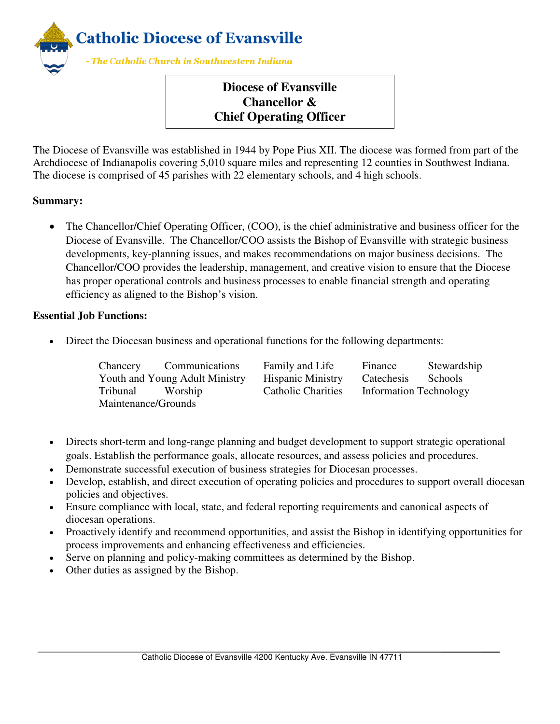

# **Diocese of Evansville Chancellor & Chief Operating Officer**

The Diocese of Evansville was established in 1944 by Pope Pius XII. The diocese was formed from part of the Archdiocese of Indianapolis covering 5,010 square miles and representing 12 counties in Southwest Indiana. The diocese is comprised of 45 parishes with 22 elementary schools, and 4 high schools.

### **Summary:**

• The Chancellor/Chief Operating Officer, (COO), is the chief administrative and business officer for the Diocese of Evansville. The Chancellor/COO assists the Bishop of Evansville with strategic business developments, key-planning issues, and makes recommendations on major business decisions. The Chancellor/COO provides the leadership, management, and creative vision to ensure that the Diocese has proper operational controls and business processes to enable financial strength and operating efficiency as aligned to the Bishop's vision.

### **Essential Job Functions:**

Direct the Diocesan business and operational functions for the following departments:

| Chancery            | Communications                 | Family and Life           | Finance                       | Stewardship |
|---------------------|--------------------------------|---------------------------|-------------------------------|-------------|
|                     | Youth and Young Adult Ministry | <b>Hispanic Ministry</b>  | Catechesis                    | Schools     |
| Tribunal            | Worship                        | <b>Catholic Charities</b> | <b>Information Technology</b> |             |
| Maintenance/Grounds |                                |                           |                               |             |

- Directs short-term and long-range planning and budget development to support strategic operational goals. Establish the performance goals, allocate resources, and assess policies and procedures.
- Demonstrate successful execution of business strategies for Diocesan processes.
- Develop, establish, and direct execution of operating policies and procedures to support overall diocesan policies and objectives.
- Ensure compliance with local, state, and federal reporting requirements and canonical aspects of diocesan operations.
- Proactively identify and recommend opportunities, and assist the Bishop in identifying opportunities for process improvements and enhancing effectiveness and efficiencies.
- Serve on planning and policy-making committees as determined by the Bishop.
- Other duties as assigned by the Bishop.